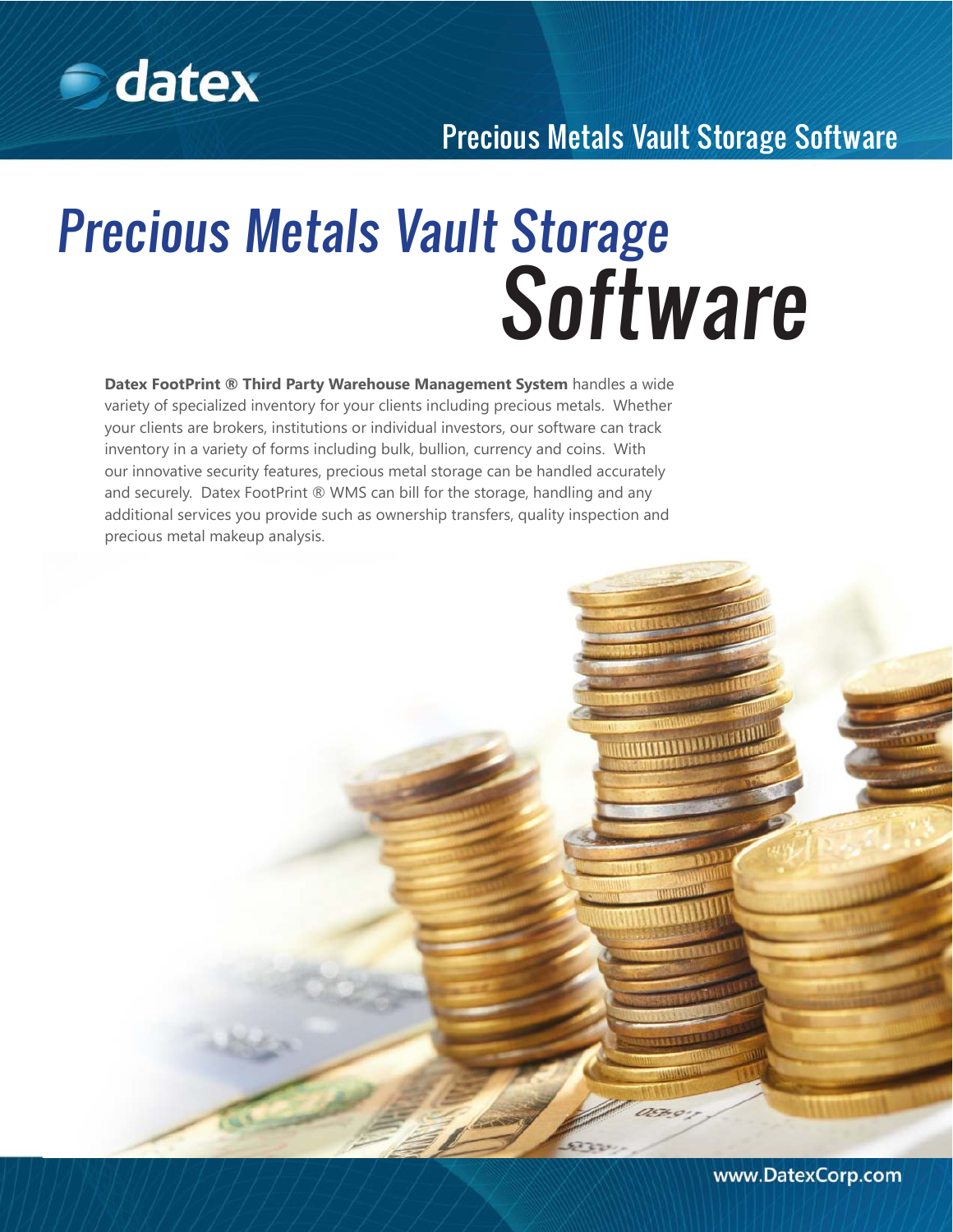

**MATTER DE L'ANNE DE LA CALIF** 

# Precious Metals Vault Storage **Software**

**Datex FootPrint ® Third Party Warehouse Management System** handles a wide variety of specialized inventory for your clients including precious metals. Whether your clients are brokers, institutions or individual investors, our software can track inventory in a variety of forms including bulk, bullion, currency and coins. With our innovative security features, precious metal storage can be handled accurately and securely. Datex FootPrint ® WMS can bill for the storage, handling and any additional services you provide such as ownership transfers, quality inspection and precious metal makeup analysis.

www.DatexCorp.com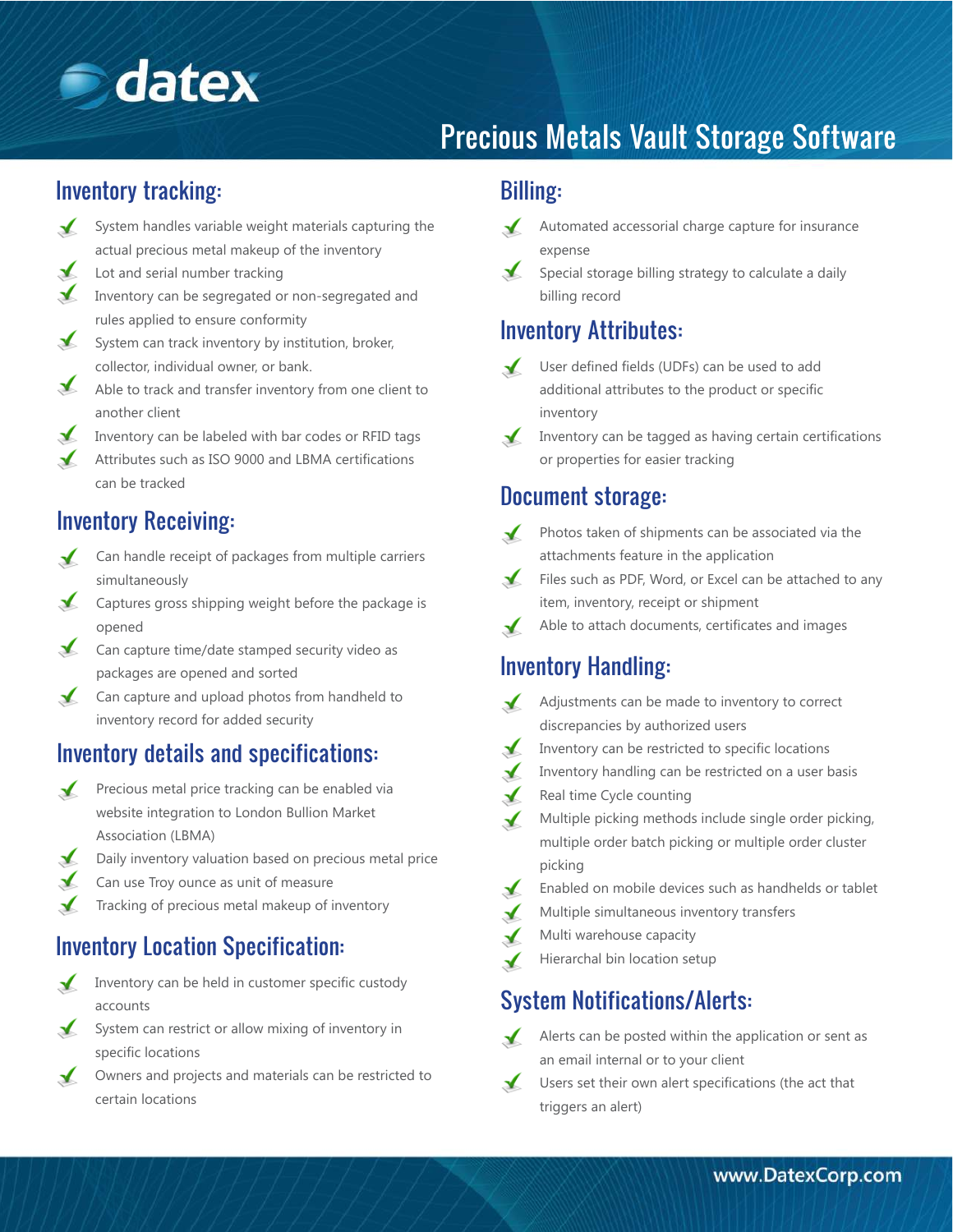

#### Inventory tracking:

- System handles variable weight materials capturing the  $\sqrt{ }$ actual precious metal makeup of the inventory
- $\sqrt{ }$ Lot and serial number tracking
- Inventory can be segregated or non-segregated and rules applied to ensure conformity
- $\mathbf{r}$ System can track inventory by institution, broker, collector, individual owner, or bank.
- Able to track and transfer inventory from one client to another client
- Inventory can be labeled with bar codes or RFID tags
- $\sqrt{ }$ Attributes such as ISO 9000 and LBMA certifications can be tracked

#### Inventory Receiving:

- Can handle receipt of packages from multiple carriers  $\sqrt{ }$ simultaneously
- Captures gross shipping weight before the package is  $\blacktriangledown$ opened
- Can capture time/date stamped security video as packages are opened and sorted
- Can capture and upload photos from handheld to inventory record for added security

#### Inventory details and specifications:

- Precious metal price tracking can be enabled via  $\sqrt{ }$ website integration to London Bullion Market Association (LBMA)
- $\checkmark$ Daily inventory valuation based on precious metal price
- $\blacktriangle$ Can use Troy ounce as unit of measure
- Tracking of precious metal makeup of inventory

## Inventory Location Specification:<br>
Hierarchal bin location setup

- $\checkmark$ Inventory can be held in customer specific custody accounts
- System can restrict or allow mixing of inventory in  $\sqrt{ }$ specific locations
- Owners and projects and materials can be restricted to  $\mathbf{r}$ certain locations

#### Billing:

- $\blacktriangledown$ Automated accessorial charge capture for insurance expense
- Special storage billing strategy to calculate a daily billing record

#### Inventory Attributes:

- $\sqrt{ }$ User defined fields (UDFs) can be used to add additional attributes to the product or specific inventory
- Inventory can be tagged as having certain certifications  $\sqrt{ }$ or properties for easier tracking

#### Document storage:

 $\blacktriangle$ 

- Photos taken of shipments can be associated via the attachments feature in the application
- Files such as PDF, Word, or Excel can be attached to any item, inventory, receipt or shipment
- Able to attach documents, certificates and images  $\sqrt{ }$

#### Inventory Handling:

- Adjustments can be made to inventory to correct discrepancies by authorized users
- Inventory can be restricted to specific locations
- Inventory handling can be restricted on a user basis
- Real time Cycle counting
- $\checkmark$ Multiple picking methods include single order picking, multiple order batch picking or multiple order cluster picking
- Enabled on mobile devices such as handhelds or tablet  $\mathbf{r}$
- Multiple simultaneous inventory transfers
- Multi warehouse capacity
- 

#### System Notifications/Alerts:

- $\mathcal{L}$ Alerts can be posted within the application or sent as an email internal or to your client
- $\mathbf{r}$ Users set their own alert specifications (the act that triggers an alert)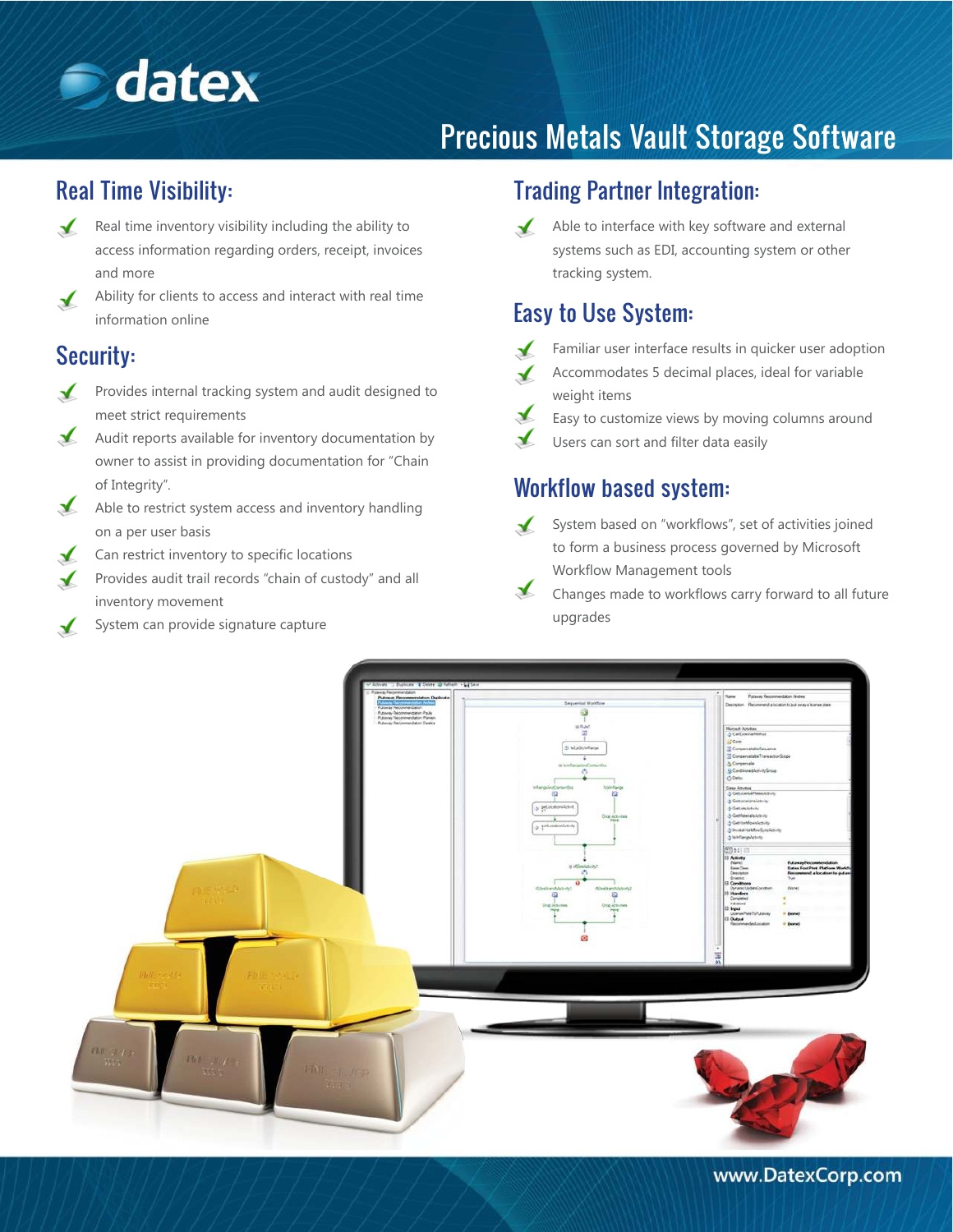

#### Real Time Visibility:

- $\sqrt{ }$ Real time inventory visibility including the ability to access information regarding orders, receipt, invoices and more
- Ability for clients to access and interact with real time  $\sqrt{ }$ information online

#### Security:

- $\mathbf{r}$ Provides internal tracking system and audit designed to meet strict requirements
- $\blacktriangle$ Audit reports available for inventory documentation by owner to assist in providing documentation for "Chain of Integrity".
- $\sqrt{ }$ Able to restrict system access and inventory handling on a per user basis
- Can restrict inventory to specific locations  $\blacktriangledown$
- Provides audit trail records "chain of custody" and all inventory movement
- System can provide signature capture  $\checkmark$

#### Trading Partner Integration:

 $\sqrt{ }$ Able to interface with key software and external systems such as EDI, accounting system or other tracking system.

#### Easy to Use System:



- Familiar user interface results in quicker user adoption
- Accommodates 5 decimal places, ideal for variable weight items
- $\blacktriangleright$ Easy to customize views by moving columns around
	- Users can sort and filter data easily

### Workflow based system:

- System based on "workflows", set of activities joined  $\checkmark$ to form a business process governed by Microsoft Workflow Management tools
- $\blacktriangle$ Changes made to workflows carry forward to all future upgrades